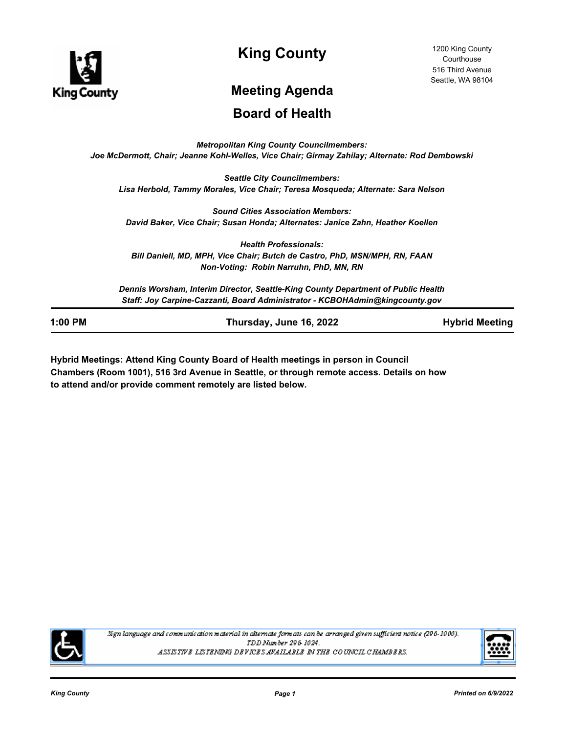

**King County**

# **Meeting Agenda**

# **Board of Health**

*Metropolitan King County Councilmembers: Joe McDermott, Chair; Jeanne Kohl-Welles, Vice Chair; Girmay Zahilay; Alternate: Rod Dembowski*

*Seattle City Councilmembers: Lisa Herbold, Tammy Morales, Vice Chair; Teresa Mosqueda; Alternate: Sara Nelson*

*Sound Cities Association Members: David Baker, Vice Chair; Susan Honda; Alternates: Janice Zahn, Heather Koellen*

*Health Professionals: Bill Daniell, MD, MPH, Vice Chair; Butch de Castro, PhD, MSN/MPH, RN, FAAN Non-Voting: Robin Narruhn, PhD, MN, RN*

*Dennis Worsham, Interim Director, Seattle-King County Department of Public Health Staff: Joy Carpine-Cazzanti, Board Administrator - KCBOHAdmin@kingcounty.gov*

**1:00 PM Thursday, June 16, 2022 Hybrid Meeting**

**Hybrid Meetings: Attend King County Board of Health meetings in person in Council Chambers (Room 1001), 516 3rd Avenue in Seattle, or through remote access. Details on how to attend and/or provide comment remotely are listed below.**



Sign language and communication material in alternate formats can be arranged given sufficient notice (296-1000). TDD Number 296-1024. ASSISTIVE LISTENING DEVICES AVAILABLE IN THE COUNCIL CHAMBERS.

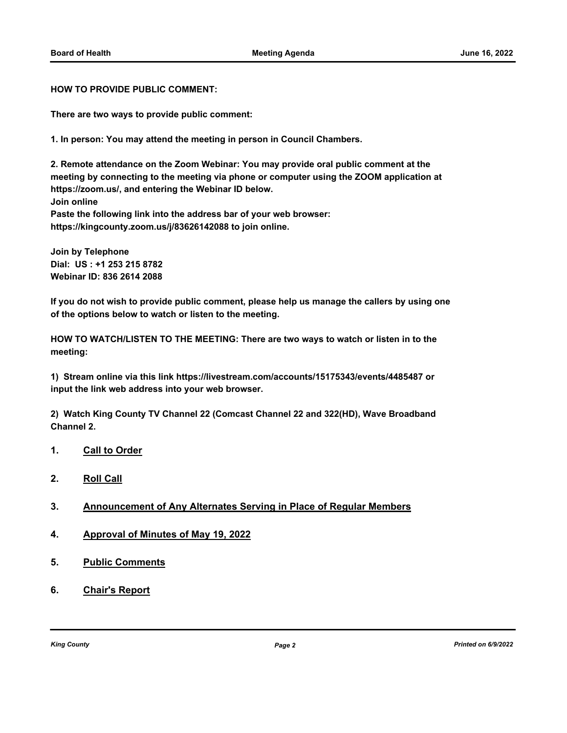**HOW TO PROVIDE PUBLIC COMMENT:**

**There are two ways to provide public comment:**

**1. In person: You may attend the meeting in person in Council Chambers.**

**2. Remote attendance on the Zoom Webinar: You may provide oral public comment at the meeting by connecting to the meeting via phone or computer using the ZOOM application at https://zoom.us/, and entering the Webinar ID below. Join online Paste the following link into the address bar of your web browser: https://kingcounty.zoom.us/j/83626142088 to join online.**

**Join by Telephone Dial: US : +1 253 215 8782 Webinar ID: 836 2614 2088**

**If you do not wish to provide public comment, please help us manage the callers by using one of the options below to watch or listen to the meeting.**

**HOW TO WATCH/LISTEN TO THE MEETING: There are two ways to watch or listen in to the meeting:**

**1) Stream online via this link https://livestream.com/accounts/15175343/events/4485487 or input the link web address into your web browser.**

**2) Watch King County TV Channel 22 (Comcast Channel 22 and 322(HD), Wave Broadband Channel 2.**

- **1. Call to Order**
- **2. Roll Call**
- **3. Announcement of Any Alternates Serving in Place of Regular Members**
- **4. Approval of Minutes of May 19, 2022**
- **5. Public Comments**
- **6. Chair's Report**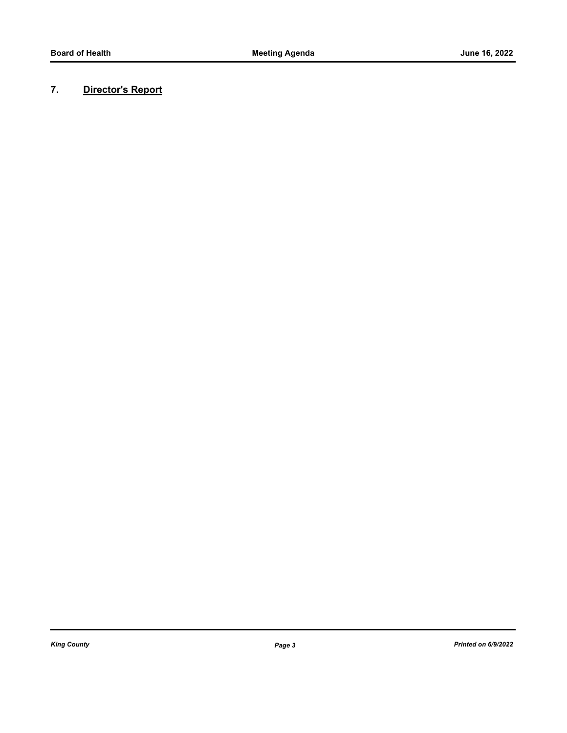# **7. Director's Report**